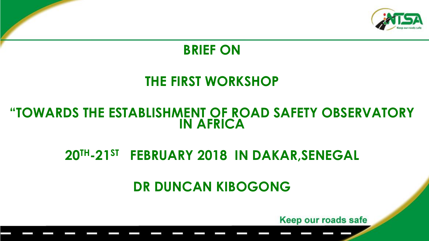

#### **BRIEF ON**

### **THE FIRST WORKSHOP**

#### **"TOWARDS THE ESTABLISHMENT OF ROAD SAFETY OBSERVATORY IN AFRICA**

## **20TH-21ST FEBRUARY 2018 IN DAKAR,SENEGAL**

## **DR DUNCAN KIBOGONG**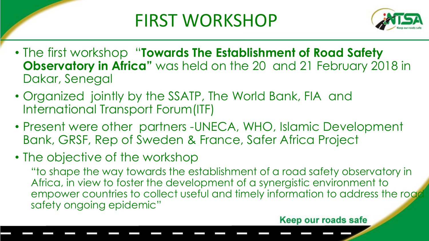## FIRST WORKSHOP



- The first workshop "**Towards The Establishment of Road Safety Observatory in Africa"** was held on the 20 and 21 February 2018 in Dakar, Senegal
- Organized jointly by the SSATP, The World Bank, FIA and International Transport Forum(ITF)
- Present were other partners -UNECA, WHO, Islamic Development Bank, GRSF, Rep of Sweden & France, Safer Africa Project
- The objective of the workshop

"to shape the way towards the establishment of a road safety observatory in Africa, in view to foster the development of a synergistic environment to empower countries to collect useful and timely information to address the road safety ongoing epidemic"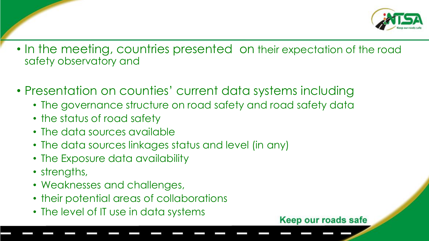

- In the meeting, countries presented on their expectation of the road safety observatory and
- Presentation on counties' current data systems including
	- The governance structure on road safety and road safety data
	- the status of road safety
	- The data sources available
	- The data sources linkages status and level (in any)
	- The Exposure data availability
	- strengths,
	- Weaknesses and challenges,
	- their potential areas of collaborations
	- The level of IT use in data systems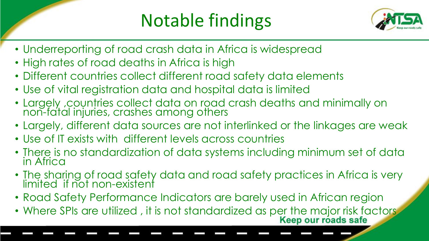## Notable findings



- Underreporting of road crash data in Africa is widespread
- High rates of road deaths in Africa is high
- Different countries collect different road safety data elements
- Use of vital registration data and hospital data is limited
- Largely ,countries collect data on road crash deaths and minimally on non-fatal injuries, crashes among others
- Largely, different data sources are not interlinked or the linkages are weak
- Use of IT exists with different levels across countries
- There is no standardization of data systems including minimum set of data in Africa
- The sharing of road safety data and road safety practices in Africa is very limited if not non-existent
- Road Safety Performance Indicators are barely used in African region
- Where SPIs are utilized, it is not standardized as per the major risk factors<br>Keep our roads safe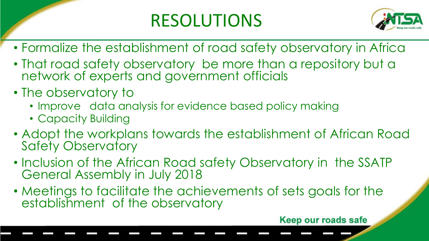## RESOLUTIONS



- Formalize the establishment of road safety observatory in Africa
- That road safety observatory be more than a repository but a network of experts and government officials
- The observatory to
	- Improve data analysis for evidence based policy making
	- Capacity Building
- Adopt the workplans towards the establishment of African Road Safety Observatory
- Inclusion of the African Road safety Observatory in the SSATP General Assembly in July 2018
- Meetings to facilitate the achievements of sets goals for the establishment of the observatory